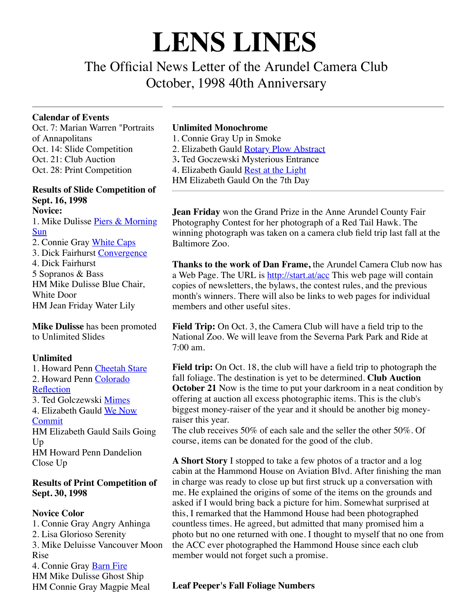# **LENS LINES**

The Official News Letter of the Arundel Camera Club October, 1998 40th Anniversary

#### **Calendar of Events**

Oct. 7: Marian Warren "Portraits of Annapolitans Oct. 14: Slide Competition Oct. 21: Club Auction Oct. 28: Print Competition

#### **Results of Slide Competition of Sept. 16, 1998 Novice:**

[1. Mike Dulisse Piers & Morning](file:///Users/davidjoyner/Pictures/ACC/LensLine/acc_member_mdulisse/mdulisse_pier_and_morning_sun.jpg) **Sun** 

2. Connie Gray [White Caps](file:///Users/davidjoyner/Pictures/ACC/LensLine/acc_member_cgray/cgray_whitecaps.jpg) 3. Dick Fairhurst [Convergence](file:///Users/davidjoyner/Pictures/ACC/LensLine/acc_member_dfairhurst/dfairhurst_convergence.jpg) 4. Dick Fairhurst 5 Sopranos & Bass HM Mike Dulisse Blue Chair, White Door HM Jean Friday Water Lily

**Mike Dulisse** has been promoted to Unlimited Slides

## **Unlimited**

1. Howard Penn [Cheetah Stare](file:///Users/davidjoyner/Pictures/ACC/LensLine/acc_member_hpenn/hpenn_cheetah_stare.jpg) [2. Howard Penn Colorado](file:///Users/davidjoyner/Pictures/ACC/LensLine/acc_member_hpenn/hpenn_colorado_reflection.jpg) Reflection 3. Ted Golczewski [Mimes](file:///Users/davidjoyner/Pictures/ACC/LensLine/acc_member_tgolczewski/tgolczewski_mimes.jpg) [4. Elizabeth Gauld We Now](file:///Users/davidjoyner/Pictures/ACC/LensLine/acc_member_esgauld/esgauld_we_now_commit.jpg) Commit HM Elizabeth Gauld Sails Going Up HM Howard Penn Dandelion Close Up

## **Results of Print Competition of Sept. 30, 1998**

**Novice Color** 1. Connie Gray Angry Anhinga 2. Lisa Glorioso Serenity 3. Mike Deluisse Vancouver Moon Rise 4. Connie Gray [Barn Fire](file:///Users/davidjoyner/Pictures/ACC/LensLine/acc_member_cgray/cgray_barn_fire.jpg) HM Mike Dulisse Ghost Ship HM Connie Gray Magpie Meal

## **Unlimited Monochrome**

1. Connie Gray Up in Smoke 2. Elizabeth Gauld [Rotary Plow Abstract](file:///Users/davidjoyner/Pictures/ACC/LensLine/acc_member_esgauld/esgauld_rotary_plow_abstract.jpg) 3**.** Ted Goczewski Mysterious Entrance 4. Elizabeth Gauld [Rest at the Light](file:///Users/davidjoyner/Pictures/ACC/LensLine/acc_member_esgauld/esgauld_rest_at_the_light.jpg) HM Elizabeth Gauld On the 7th Day

**Jean Friday** won the Grand Prize in the Anne Arundel County Fair Photography Contest for her photograph of a Red Tail Hawk. The winning photograph was taken on a camera club field trip last fall at the Baltimore Zoo.

**Thanks to the work of Dan Frame,** the Arundel Camera Club now has a Web Page. The URL is <http://start.at/acc> This web page will contain copies of newsletters, the bylaws, the contest rules, and the previous month's winners. There will also be links to web pages for individual members and other useful sites.

**Field Trip:** On Oct. 3, the Camera Club will have a field trip to the National Zoo. We will leave from the Severna Park Park and Ride at 7:00 am.

**Field trip:** On Oct. 18, the club will have a field trip to photograph the fall foliage. The destination is yet to be determined. **Club Auction October 21** Now is the time to put your darkroom in a neat condition by offering at auction all excess photographic items. This is the club's biggest money-raiser of the year and it should be another big moneyraiser this year.

The club receives 50% of each sale and the seller the other 50%. Of course, items can be donated for the good of the club.

**A Short Story** I stopped to take a few photos of a tractor and a log cabin at the Hammond House on Aviation Blvd. After finishing the man in charge was ready to close up but first struck up a conversation with me. He explained the origins of some of the items on the grounds and asked if I would bring back a picture for him. Somewhat surprised at this, I remarked that the Hammond House had been photographed countless times. He agreed, but admitted that many promised him a photo but no one returned with one. I thought to myself that no one from the ACC ever photographed the Hammond House since each club member would not forget such a promise.

## **Leaf Peeper's Fall Foliage Numbers**